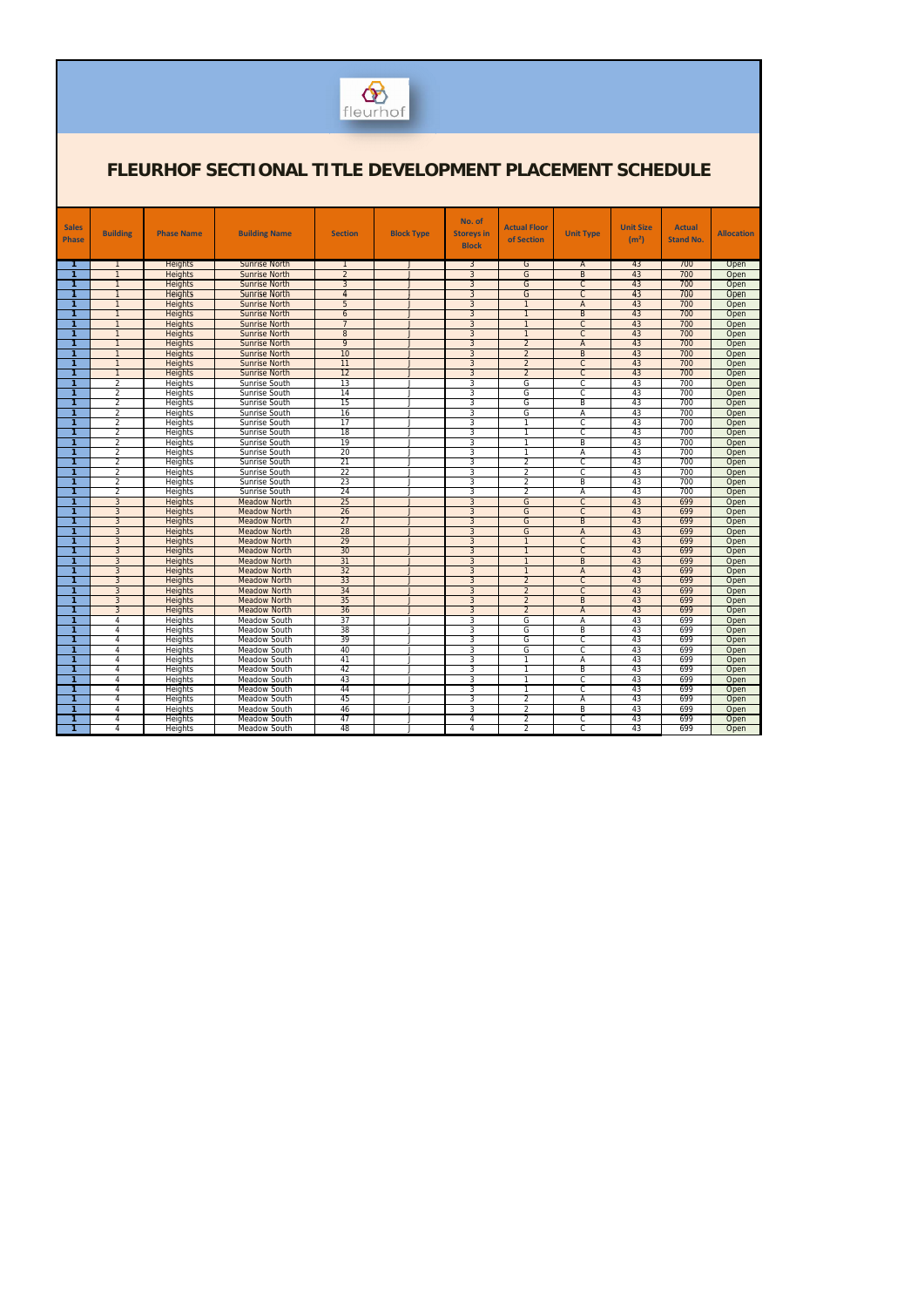

| <b>Sales</b><br><b>Phase</b> | <b>Building</b>                  | <b>Phase Name</b>         | <b>Building Name</b>                       | <b>Section</b>  | <b>Block Type</b> | No. of<br><b>Storeys in</b><br><b>Block</b> | <b>Actual Floor</b><br>of Section | <b>Unit Type</b>                 | <b>Unit Size</b><br>(m <sup>2</sup> ) | <b>Actual</b><br><b>Stand No.</b> | <b>Allocation</b> |
|------------------------------|----------------------------------|---------------------------|--------------------------------------------|-----------------|-------------------|---------------------------------------------|-----------------------------------|----------------------------------|---------------------------------------|-----------------------------------|-------------------|
| -1                           |                                  | <b>Heights</b>            | <b>Sunrise North</b>                       | -1              | $\mathbf{J}$      | 3                                           | G                                 | $\mathsf{A}$                     | 43                                    | 700                               | Open              |
| $\mathbf{1}$                 |                                  | <b>Heights</b>            | <b>Sunrise North</b>                       | $\overline{2}$  |                   | $\overline{3}$                              | G                                 | $\overline{B}$                   | 43                                    | 700                               | Open              |
| $\mathbf{1}$                 | $\overline{1}$                   | <b>Heights</b>            | <b>Sunrise North</b>                       | $\overline{3}$  |                   | $\overline{3}$                              | G                                 | $\overline{C}$                   | 43                                    | 700                               | Open              |
| 1                            | $\mathbf{1}$                     | <b>Heights</b>            | <b>Sunrise North</b>                       | $\overline{4}$  | J                 | $\overline{3}$                              | G                                 | $\overline{C}$                   | 43                                    | 700                               | Open              |
| 1                            | $\mathbf{1}$                     | <b>Heights</b>            | <b>Sunrise North</b>                       | 5               | $\mathbf{J}$      | $\overline{3}$                              | $\overline{1}$                    | $\overline{A}$                   | 43                                    | 700                               | Open              |
| 1                            | $\mathbf{1}$                     | <b>Heights</b>            | <b>Sunrise North</b>                       | $\overline{6}$  | J                 | $\overline{3}$                              |                                   | $\overline{B}$                   | 43                                    | 700                               | Open              |
| 1                            | $\overline{1}$                   | <b>Heights</b>            | <b>Sunrise North</b>                       | $\overline{7}$  | J                 | $\overline{3}$                              |                                   | $\overline{C}$                   | 43                                    | 700                               | Open              |
| $\mathbf{1}$                 | $\mathbf{1}$                     | Heights                   | <b>Sunrise North</b>                       | $\overline{8}$  | $\perp$           | $\overline{3}$                              | $\overline{1}$                    | $\overline{C}$                   | 43                                    | 700                               | Open              |
| $\mathbf{1}$                 | $\mathbf{1}$                     | Heights                   | <b>Sunrise North</b>                       | $\overline{9}$  | J                 | $\overline{3}$                              | $\overline{2}$                    | $\overline{A}$                   | 43                                    | 700                               | Open              |
| 1                            | $\mathbf{1}$                     | <b>Heights</b>            | <b>Sunrise North</b>                       | 10              | J                 | $\overline{3}$                              | $\overline{2}$                    | $\overline{B}$                   | 43                                    | 700                               | Open              |
| 1                            | $\mathbf{1}$                     | Heights                   | <b>Sunrise North</b>                       | 11              | $\mathbf{J}$      | $\overline{3}$                              | $\overline{2}$                    | C                                | 43                                    | 700                               | Open              |
| $\mathbf{1}$                 | $\mathbf{1}$                     | Heights                   | <b>Sunrise North</b>                       | 12              | $\mathbf{J}$      | $\overline{3}$                              | $\overline{2}$                    | $\overline{C}$                   | 43                                    | 700                               | Open              |
| 1                            | $\overline{2}$                   | Heights                   | Sunrise South                              | $\overline{13}$ | J                 | 3                                           | G                                 | C                                | 43                                    | 700                               | Open              |
| 1                            | $\overline{2}$                   | <b>Heights</b>            | Sunrise South                              | 14              | J                 | 3                                           | G                                 | C                                | 43                                    | 700                               | Open              |
| $\overline{1}$               | 2                                | <b>Heights</b>            | Sunrise South                              | 15              | J                 | 3                                           | G                                 | B                                | 43                                    | 700                               | Open              |
| 1                            | $\overline{2}$                   | Heights                   | Sunrise South                              | 16              |                   | 3                                           | G                                 | A                                | 43                                    | 700                               | Open              |
| $\mathbf{1}$                 | $\overline{2}$                   | Heights                   | Sunrise South                              | 17              | $\cdot$           | 3                                           | $\mathbf{1}$                      | $\mathsf{C}$                     | 43                                    | 700                               | Open              |
| 1                            | $\overline{2}$                   | <b>Heights</b>            | Sunrise South                              | 18              | $\mathbf{J}$      | 3                                           |                                   | $\overline{\mathbb{C}}$          | 43                                    | 700                               | Open              |
| 1                            | $\overline{2}$                   | Heights                   | Sunrise South                              | 19              | $\mathbf{I}$      | 3                                           |                                   | $\overline{B}$                   | 43                                    | 700                               | Open              |
| 1                            | $\overline{2}$                   | Heights                   | Sunrise South                              | 20              | $\mathbf{J}$      | 3                                           | 7                                 | A                                | 43                                    | 700                               | Open              |
| 1                            | $\overline{2}$                   | Heights                   | Sunrise South                              | 21              | $\perp$           | 3                                           | $\overline{2}$                    | $\overline{c}$                   | 43                                    | 700                               | Open              |
| 1                            | 2                                | Heights                   | Sunrise South                              | 22              | J                 | 3                                           | $\overline{2}$                    | C                                | 43                                    | 700                               | Open              |
| 1                            | $\overline{2}$                   | Heights                   | Sunrise South                              | 23              | J                 | 3                                           | $\overline{2}$                    | B                                | 43                                    | 700                               | Open              |
| 1                            | $\overline{2}$                   | Heights                   | Sunrise South                              | 24              | $\cdot$           | 3                                           | $\overline{2}$                    | Ā                                | 43                                    | 700                               | Open              |
| 1                            | $\overline{3}$                   | <b>Heights</b>            | <b>Meadow North</b>                        | 25              | J                 | $\overline{3}$                              | G                                 | $\overline{C}$                   | 43                                    | 699                               | Open              |
| 1                            | $\overline{3}$                   | <b>Heights</b>            | <b>Meadow North</b>                        | 26              | J                 | $\overline{3}$                              | G                                 | C                                | 43                                    | 699                               | Open              |
| 1                            | $\overline{3}$                   | <b>Heights</b>            | <b>Meadow North</b>                        | 27              | IJ                | $\overline{3}$                              | G                                 | $\overline{B}$                   | 43                                    | 699                               | Open              |
| 1                            | $\overline{3}$                   | <b>Heights</b>            | <b>Meadow North</b>                        | 28              | J                 | $\overline{3}$                              | G                                 | $\overline{A}$                   | 43                                    | 699                               | Open              |
| 1                            | $\overline{3}$                   | <b>Heights</b>            | <b>Meadow North</b>                        | 29              | $\mathbf{J}$      | $\overline{3}$                              | $\overline{1}$                    | $\overline{C}$                   | 43                                    | 699                               | Open              |
| 1                            | $\overline{3}$                   | <b>Heights</b>            | <b>Meadow North</b>                        | 30              | $\mathbf{J}$      | $\overline{3}$                              | $\overline{1}$                    | $\overline{C}$                   | 43                                    | 699                               | Open              |
| 1                            | $\overline{3}$                   | <b>Heights</b>            | <b>Meadow North</b>                        | 31              | J                 | $\overline{3}$                              | $\overline{1}$                    | $\overline{B}$                   | 43                                    | 699                               | Open              |
| 1                            | $\overline{3}$                   | <b>Heights</b>            | <b>Meadow North</b>                        | 32<br>33        | $\mathbf{J}$      | $\overline{3}$                              |                                   | $\overline{A}$                   | 43                                    | 699<br>699                        | Open              |
| $\mathbf{1}$                 | $\overline{3}$                   | Heights                   | <b>Meadow North</b>                        |                 | $\mathbf{J}$      | $\overline{3}$                              | $\overline{2}$                    | $\overline{C}$                   | 43                                    |                                   | Open              |
| 1<br>1                       | $\overline{3}$<br>$\overline{3}$ | Heights                   | <b>Meadow North</b>                        | 34<br>35        | J<br>J            | $\overline{3}$<br>3                         | $\overline{2}$                    | $\overline{C}$<br>$\overline{B}$ | 43<br>43                              | 699<br>699                        | Open              |
| $\mathbf{1}$                 | $\overline{3}$                   | <b>Heights</b>            | <b>Meadow North</b><br><b>Meadow North</b> | 36              | J                 | $\overline{3}$                              | $\overline{2}$<br>$\overline{2}$  | $\overline{A}$                   | 43                                    | 699                               | Open<br>Open      |
| 1                            | $\overline{4}$                   | <b>Heights</b><br>Heights | Meadow South                               | 37              | $\cdot$           | 3                                           | G                                 | Ā                                | 43                                    | 699                               | Open              |
| 1                            | $\overline{4}$                   | Heights                   | Meadow South                               | 38              | J                 | $\overline{3}$                              | G                                 | B                                | 43                                    | 699                               | Open              |
| 1                            | $\overline{4}$                   | <b>Heights</b>            | Meadow South                               | 39              | $\mathbf{J}$      | 3                                           | G                                 | C                                | 43                                    | 699                               | Open              |
| $\mathbf{1}$                 | $\overline{4}$                   | <b>Heights</b>            | <b>Meadow South</b>                        | 40              | $\mathbf{J}$      | 3                                           | G                                 | C                                | 43                                    | 699                               | Open              |
| 1                            | $\overline{4}$                   | Heights                   | Meadow South                               | 41              | $\mathbf{I}$      | 3                                           |                                   | A                                | 43                                    | 699                               | Open              |
| 1                            | $\overline{4}$                   | Heights                   | Meadow South                               | 42              | $\perp$           | 3                                           | $\mathbf{1}$                      | $\overline{B}$                   | 43                                    | 699                               | Open              |
| 1                            | $\overline{4}$                   | <b>Heights</b>            | <b>Meadow South</b>                        | 43              | $\mathbf{I}$      | 3                                           |                                   | C                                | 43                                    | 699                               | Open              |
| 1                            | $\overline{4}$                   | Heights                   | Meadow South                               | 44              | $\mathbf{J}$      | 3                                           | $\mathbf{1}$                      | $\overline{\mathsf{C}}$          | 43                                    | 699                               | Open              |
| 1                            | $\overline{4}$                   | Heights                   | Meadow South                               | 45              | $\mathbf{J}$      | 3                                           | $\overline{2}$                    | A                                | 43                                    | 699                               | Open              |
| 1                            | 4                                | Heights                   | Meadow South                               | 46              | J                 | 3                                           | $\overline{2}$                    | B                                | 43                                    | 699                               | Open              |
| 1                            | 4                                | Heights                   | Meadow South                               | 47              | J                 | $\overline{4}$                              | $\overline{2}$                    | C                                | 43                                    | 699                               | Open              |
| 1.                           | 4                                | Heights                   | Meadow South                               | 48              | J                 | 4                                           | $\overline{2}$                    | C                                | 43                                    | 699                               | Open              |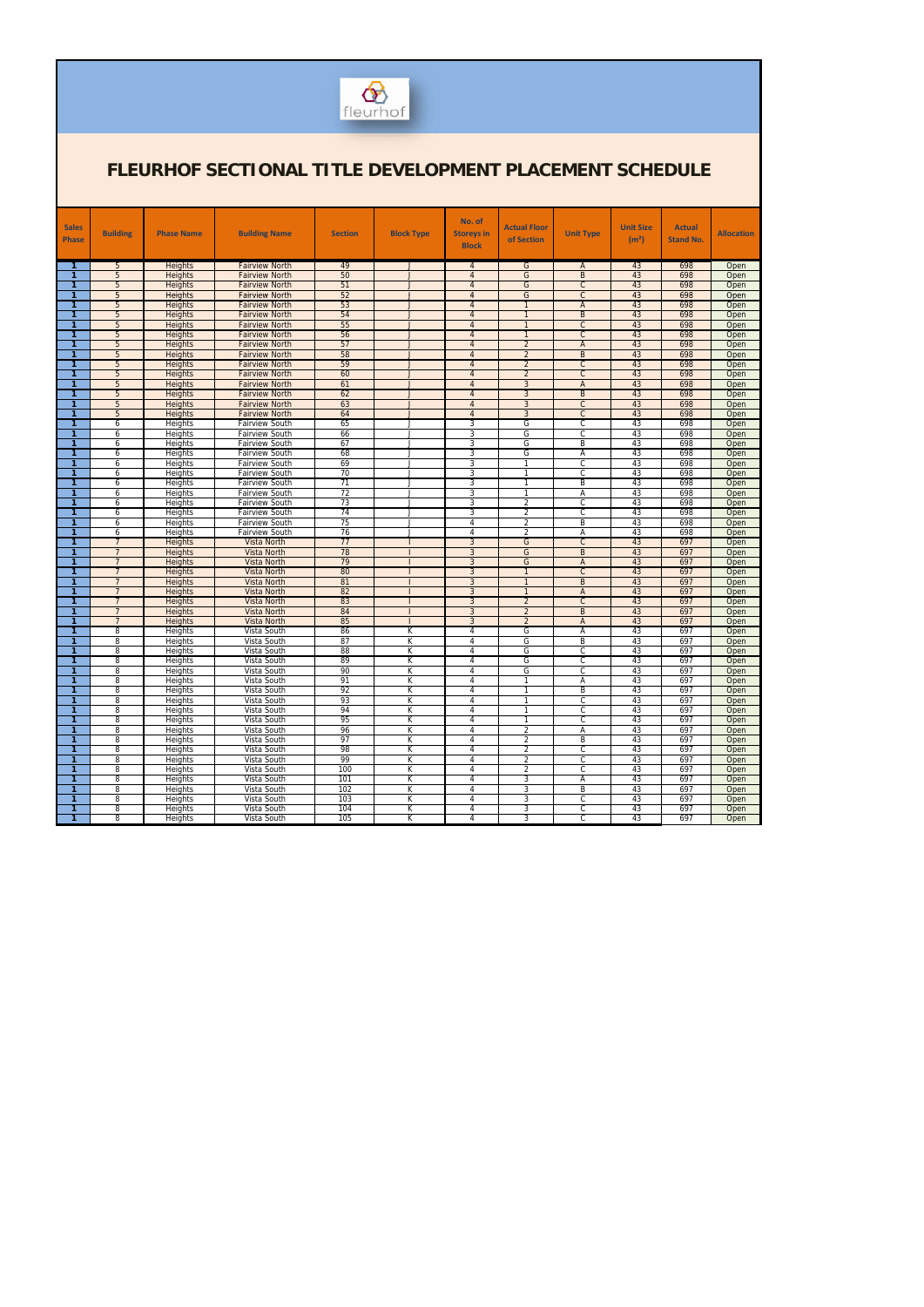

| <b>Sales</b>                 |                                  |                           |                                                |                |                              | No. of                           | <b>Actual Floor</b>              |                                  | <b>Unit Size</b>  | <b>Actual</b>    |                   |
|------------------------------|----------------------------------|---------------------------|------------------------------------------------|----------------|------------------------------|----------------------------------|----------------------------------|----------------------------------|-------------------|------------------|-------------------|
| <b>Phase</b>                 | <b>Building</b>                  | <b>Phase Name</b>         | <b>Building Name</b>                           | <b>Section</b> | <b>Block Type</b>            | <b>Storeys in</b>                | of Section                       | <b>Unit Type</b>                 | (m <sup>2</sup> ) | <b>Stand No.</b> | <b>Allocation</b> |
|                              |                                  |                           |                                                |                |                              | <b>Block</b>                     |                                  |                                  |                   |                  |                   |
| -1                           | 5                                | <b>Heights</b>            | <b>Fairview North</b>                          | 49             | J                            | $\overline{4}$                   | G                                | A                                | 43                | 698              | Open              |
| 1                            | 5                                | Heights                   | <b>Fairview North</b>                          | 50             | J                            | $\overline{4}$                   | G                                | B                                | 43                | 698              | Open              |
| 1                            | 5                                | Heights                   | <b>Fairview North</b>                          | 51             | $\mathbf{J}$                 | $\overline{4}$                   | G                                | $\overline{C}$                   | 43                | 698              | Open              |
|                              | 5                                | <b>Heights</b>            | <b>Fairview North</b>                          | 52             | $\mathsf{I}$                 | $\overline{4}$                   | G                                | $\overline{C}$                   | 43                | 698              | Open              |
| 1                            | 5                                | <b>Heights</b>            | <b>Fairview North</b>                          | 53             | $\mathbf{I}$                 | $\overline{4}$                   | $\mathbf{1}$                     | $\overline{A}$                   | 43                | 698              | Open              |
| 1<br>1                       | 5                                | <b>Heights</b>            | <b>Fairview North</b>                          | 54             | J<br>$\mathbf{I}$            | $\overline{4}$                   | $\overline{1}$                   | $\overline{B}$<br>$\overline{C}$ | 43                | 698              | Open              |
| 1                            | 5<br>5                           | Heights<br><b>Heights</b> | <b>Fairview North</b><br><b>Fairview North</b> | 55<br>56       | J                            | $\overline{4}$<br>$\overline{4}$ | $\mathbf{1}$                     | $\overline{C}$                   | 43<br>43          | 698<br>698       | Open<br>Open      |
| 1                            | 5                                | <b>Heights</b>            | <b>Fairview North</b>                          | 57             | $\mathbf{I}$                 | $\overline{4}$                   | $\overline{2}$                   | $\overline{A}$                   | 43                | 698              | Open              |
| 1                            | 5                                | Heights                   | <b>Fairview North</b>                          | 58             | J                            | $\overline{4}$                   | $\overline{2}$                   | $\overline{B}$                   | 43                | 698              | Open              |
| 1                            | 5                                | Heights                   | <b>Fairview North</b>                          | 59             | $\mathbf{I}$                 | $\overline{4}$                   | $\overline{2}$                   | $\overline{C}$                   | 43                | 698              | Open              |
| 1                            | 5                                | <b>Heights</b>            | <b>Fairview North</b>                          | 60             | J                            | $\overline{4}$                   | $\overline{2}$                   | $\overline{C}$                   | 43                | 698              | Open              |
| 1                            | 5                                | <b>Heights</b>            | <b>Fairview North</b>                          | 61             | $\mathbf{I}$                 | $\overline{4}$                   | 3                                | $\overline{A}$                   | 43                | 698              | Open              |
| 1                            | 5                                | Heights                   | <b>Fairview North</b>                          | 62             | J                            | $\overline{4}$                   | $\overline{3}$                   | $\overline{B}$                   | 43                | 698              | Open              |
| 1                            | 5                                | Heights                   | <b>Fairview North</b>                          | 63             | $\mathbf{I}$                 | $\overline{4}$                   | 3                                | $\overline{C}$                   | 43                | 698              | Open              |
| 1<br>1                       | 5<br>6                           | Heights<br>Heights        | <b>Fairview North</b><br><b>Fairview South</b> | 64<br>65       | J<br>$\mathbf{I}$            | $\overline{4}$<br>3              | $\overline{3}$<br>G              | $\overline{C}$<br>C              | 43<br>43          | 698<br>698       | Open<br>Open      |
| 1                            | 6                                | <b>Heights</b>            | <b>Fairview South</b>                          | 66             | $\mathbf{J}$                 | 3                                | G                                | C                                | 43                | 698              | Open              |
| 1                            | 6                                | Heights                   | <b>Fairview South</b>                          | 67             |                              | $\overline{3}$                   | G                                | $\overline{B}$                   | 43                | 698              | Open              |
|                              | 6                                | <b>Heights</b>            | <b>Fairview South</b>                          | 68             | $\overline{\phantom{a}}$     | 3                                | G                                | Α                                | 43                | 698              | Open              |
| -1                           | 6                                | Heights                   | <b>Fairview South</b>                          | 69             | $\mathbf{I}$                 | 3                                |                                  | C                                | 43                | 698              | Open              |
| 1                            | 6                                | <b>Heights</b>            | <b>Fairview South</b>                          | 70             | $\mathbf{J}$                 | 3                                | $\mathbf{1}$                     | C                                | 43                | 698              | Open              |
| 1                            | 6                                | Heights                   | <b>Fairview South</b>                          | 71             |                              | $\overline{3}$                   |                                  | $\overline{B}$                   | 43                | 698              | Open              |
|                              | 6                                | <b>Heights</b>            | <b>Fairview South</b>                          | 72             | $\overline{\phantom{a}}$     | 3                                | $\mathbf{1}$                     | A                                | 43                | 698              | Open              |
| -1<br>1                      | 6                                | <b>Heights</b>            | <b>Fairview South</b>                          | 73<br>74       | $\mathbf{I}$<br>$\mathbf{J}$ | 3<br>3                           | $\overline{2}$                   | C<br>C                           | 43<br>43          | 698<br>698       | Open              |
| 1                            | 6<br>6                           | <b>Heights</b><br>Heights | <b>Fairview South</b><br><b>Fairview South</b> | 75             |                              | $\overline{4}$                   | $\overline{2}$<br>$\overline{2}$ | $\overline{B}$                   | 43                | 698              | Open<br>Open      |
| 1                            | 6                                | <b>Heights</b>            | <b>Fairview South</b>                          | 76             | $\mathbf{J}$                 | 4                                | $\overline{2}$                   | Α                                | 43                | 698              | Open              |
| 1                            | $\overline{7}$                   | <b>Heights</b>            | <b>Vista North</b>                             | 77             |                              | 3                                | G                                | $\mathsf{C}$                     | 43                | 697              | Open              |
| 1                            | $\overline{7}$                   | Heights                   | Vista North                                    | 78             |                              | 3                                | G                                | $\overline{B}$                   | 43                | 697              | Open              |
| 1                            | $\overline{7}$                   | Heights                   | <b>Vista North</b>                             | 79             |                              | $\overline{3}$                   | G                                | $\overline{A}$                   | 43                | 697              | Open              |
| 1                            | $\overline{7}$                   | <b>Heights</b>            | <b>Vista North</b>                             | 80             |                              | 3                                | $\overline{1}$                   | $\overline{C}$                   | 43                | 697              | Open              |
| 1                            | $\overline{7}$                   | <b>Heights</b>            | Vista North                                    | 81             |                              | 3                                |                                  | $\overline{B}$                   | 43                | 697              | Open              |
| 1<br>1                       | $\overline{7}$<br>$\overline{7}$ | <b>Heights</b>            | <b>Vista North</b><br><b>Vista North</b>       | 82<br>83       |                              | $\overline{3}$<br>$\overline{3}$ | $\overline{1}$<br>$\overline{2}$ | $\overline{A}$<br>$\mathsf{C}$   | 43<br>43          | 697<br>697       | Open              |
| 1                            | $\overline{7}$                   | Heights<br><b>Heights</b> | Vista North                                    | 84             |                              | 3                                | $\overline{2}$                   | $\overline{B}$                   | 43                | 697              | Open<br>Open      |
| 1                            | $\overline{7}$                   | <b>Heights</b>            | <b>Vista North</b>                             | 85             |                              | 3                                | $\overline{2}$                   | $\overline{A}$                   | 43                | 697              | Open              |
| 1                            | 8                                | Heights                   | Vista South                                    | 86             | К                            | $\overline{4}$                   | G                                | Α                                | 43                | 697              | Open              |
| -1                           | 8                                | Heights                   | Vista South                                    | 87             | К                            | 4                                | G                                | B                                | 43                | 697              | Open              |
|                              | 8                                | <b>Heights</b>            | Vista South                                    | 88             | К                            | 4                                | G                                | C                                | 43                | 697              | Open              |
| 1                            | 8                                | <b>Heights</b>            | Vista South                                    | 89             | К                            | 4                                | G                                | C                                | 43                | 697              | Open              |
| 1                            | 8                                | <b>Heights</b>            | Vista South                                    | 90             | К                            | 4                                | G                                | $\overline{C}$                   | 43                | 697              | Open              |
| 1<br>1                       | 8<br>8                           | Heights                   | Vista South                                    | 91             | К                            | 4<br>4                           |                                  | Α<br>R                           | 43                | 697              | Open              |
| $\mathbf 1$                  | 8                                | Heights<br>Heights        | Vista South<br>Vista South                     | 92<br>93       | К<br>К                       | 4                                | $\mathbf{1}$                     | C                                | 43<br>43          | 697<br>697       | Open<br>Open      |
| $\mathbf{1}$                 | 8                                | Heights                   | Vista South                                    | 94             | К                            | 4                                | $\mathbf{1}$                     | C                                | 43                | 697              | Open              |
| $\mathbf{1}$                 | 8                                | <b>Heights</b>            | Vista South                                    | 95             | К                            | 4                                | $\mathbf{1}$                     | C                                | 43                | 697              | Open              |
| $\mathbf{1}$                 | 8                                | Heights                   | Vista South                                    | 96             | K                            | 4                                | $\overline{2}$                   | А                                | 43                | 697              | Open              |
| $\mathbf{1}$                 | 8                                | <b>Heights</b>            | Vista South                                    | 97             | К                            | 4                                | $\overline{2}$                   | B                                | 43                | 697              | Open              |
| $\mathbf{1}$                 | 8                                | Heights                   | Vista South                                    | 98             | К                            | 4                                | $\overline{2}$                   | C                                | 43                | 697              | Open              |
| $\mathbf{1}$                 | 8                                | <b>Heights</b>            | Vista South                                    | 99             | К                            | 4                                | $\overline{2}$                   | C                                | 43                | 697              | Open              |
| $\mathbf{1}$                 | 8                                | Heights                   | Vista South                                    | 100            | К                            | 4                                | $\overline{2}$                   | C                                | 43                | 697              | Open              |
| $\mathbf{1}$<br>$\mathbf{1}$ | 8                                | <b>Heights</b>            | Vista South                                    | 101<br>102     | К                            | 4                                | 3                                | Α                                | 43<br>43          | 697<br>697       | Open              |
| $\mathbf{1}$                 | 8<br>8                           | Heights<br><b>Heights</b> | Vista South<br>Vista South                     | 103            | К<br>К                       | 4<br>4                           | 3<br>3                           | B<br>C                           | 43                | 697              | Open<br>Open      |
| $\mathbf{1}$                 | 8                                | <b>Heights</b>            | Vista South                                    | 104            | К                            | 4                                | 3                                | C                                | 43                | 697              | Open              |
| 1                            | 8                                | Heights                   | Vista South                                    | 105            | K                            | 4                                | 3                                | C                                | 43                | 697              | Open              |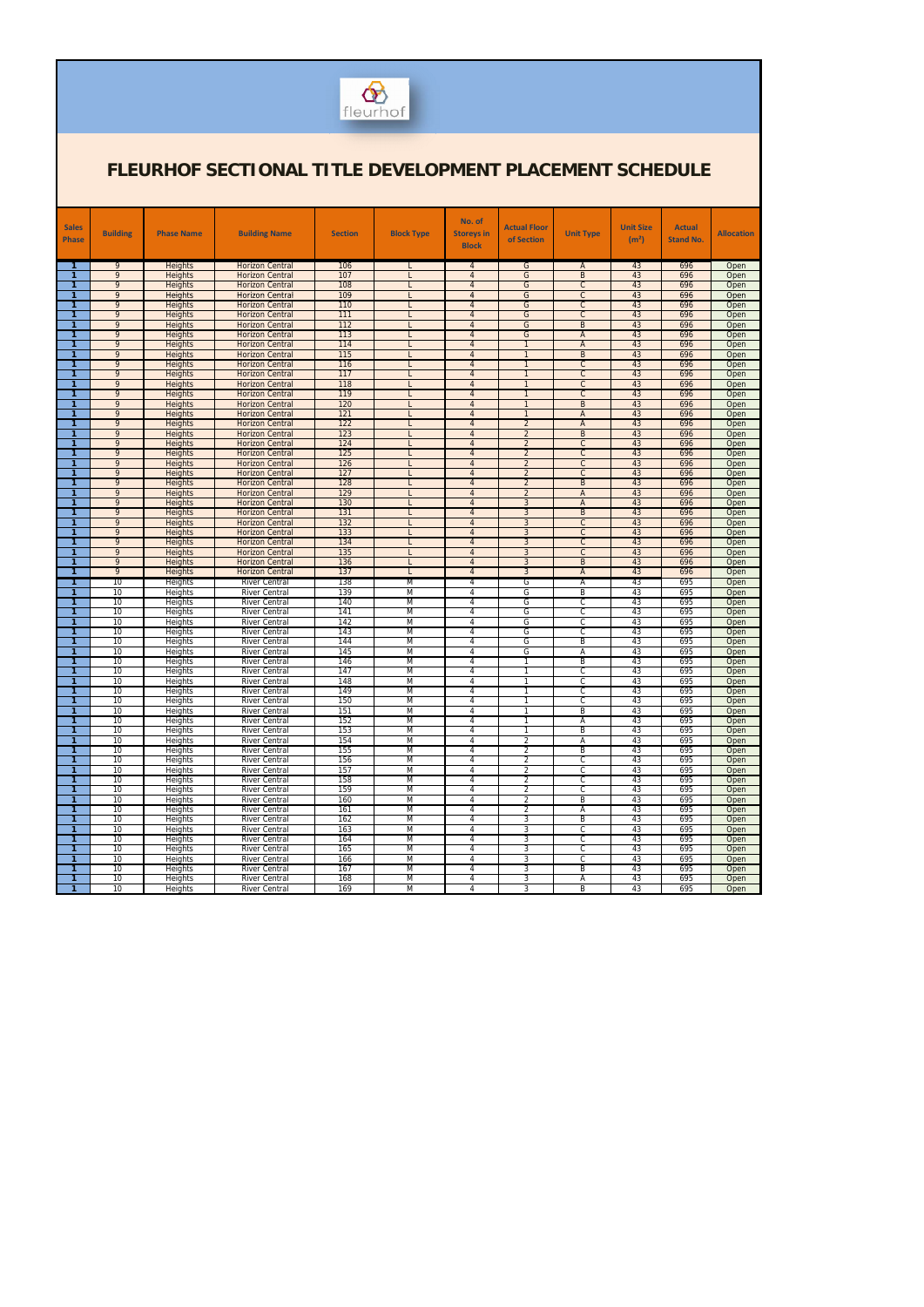

| <b>Sales</b><br><b>Phase</b> | <b>Building</b>     | <b>Phase Name</b>                | <b>Building Name</b>                             | <b>Section</b> | <b>Block Type</b> | No. of<br><b>Storeys in</b><br><b>Block</b> | <b>Actual Floor</b><br>of Section | <b>Unit Type</b>                 | <b>Unit Size</b><br>(m <sup>2</sup> ) | <b>Actual</b><br><b>Stand No.</b> | <b>Allocation</b> |
|------------------------------|---------------------|----------------------------------|--------------------------------------------------|----------------|-------------------|---------------------------------------------|-----------------------------------|----------------------------------|---------------------------------------|-----------------------------------|-------------------|
| 1.<br>$\mathbf{1}$           | 9<br>$\overline{9}$ | <b>Heights</b>                   | <b>Horizon Central</b>                           | 106<br>107     |                   | 4                                           | G<br>G                            | A<br>B                           | 43<br>43                              | 696<br>696                        | Open              |
| 1                            | $\overline{9}$      | Heights<br>Heights               | <b>Horizon Central</b><br><b>Horizon Central</b> | 108            |                   | $\overline{4}$<br>$\overline{4}$            | G                                 | $\overline{C}$                   | 43                                    | 696                               | Open<br>Open      |
| 1                            | 9                   | <b>Heights</b>                   | <b>Horizon Central</b>                           | 109            |                   | 4                                           | G                                 | $\mathsf{C}$                     | 43                                    | 696                               | Open              |
| 1                            | 9                   | <b>Heights</b>                   | <b>Horizon Central</b>                           | 110            |                   | $\overline{4}$                              | $\overline{G}$                    | $\overline{C}$                   | 43                                    | 696                               | Open              |
| $\mathbf{1}$                 | 9                   | <b>Heights</b>                   | <b>Horizon Central</b>                           | 111            |                   | $\overline{4}$                              | G                                 | $\overline{C}$                   | 43                                    | 696                               | Open              |
| 1                            | 9                   | <b>Heights</b>                   | <b>Horizon Central</b>                           | 112            |                   | $\overline{4}$                              | G                                 | $\overline{B}$                   | 43                                    | 696                               | Open              |
| 1                            | 9                   | Heights                          | <b>Horizon Central</b>                           | 113            |                   | $\overline{4}$                              | G                                 | $\overline{A}$                   | 43                                    | 696                               | Open              |
| 1                            | 9                   | <b>Heights</b>                   | <b>Horizon Central</b>                           | 114            |                   | $\overline{4}$                              | $\overline{1}$                    | $\overline{A}$                   | 43                                    | 696                               | Open              |
| $\mathbf{1}$                 | 9                   | Heights                          | <b>Horizon Central</b>                           | 115            |                   | $\overline{4}$                              | $\mathbf{1}$                      | $\sf B$                          | 43                                    | 696                               | Open              |
| 1                            | 9                   | <b>Heights</b>                   | <b>Horizon Central</b>                           | 116            |                   | $\overline{4}$                              | $\overline{1}$                    | $\overline{C}$                   | 43                                    | 696                               | Open              |
| $\mathbf{1}$                 | 9                   | Heights                          | <b>Horizon Central</b>                           | 117            |                   | $\overline{4}$                              | $\mathbf{1}$                      | $\overline{C}$                   | 43                                    | 696                               | Open              |
| 1                            | 9                   | <b>Heights</b>                   | <b>Horizon Central</b>                           | 118            |                   | $\overline{4}$                              | $\overline{1}$                    | $\overline{C}$                   | 43                                    | 696                               | Open              |
| $\mathbf{1}$                 | 9<br>9              | Heights                          | <b>Horizon Central</b>                           | 119<br>120     |                   | $\overline{4}$<br>$\overline{4}$            | $\mathbf{1}$<br>$\mathbf{1}$      | $\overline{C}$<br>$\overline{B}$ | 43<br>43                              | 696                               | Open              |
| 1<br>$\mathbf{1}$            | 9                   | <b>Heights</b><br>Heights        | <b>Horizon Central</b><br><b>Horizon Central</b> | 121            |                   | $\overline{4}$                              | $\overline{1}$                    | $\overline{A}$                   | 43                                    | 696<br>696                        | Open<br>Open      |
| 1                            | 9                   | <b>Heights</b>                   | <b>Horizon Central</b>                           | 122            |                   | $\overline{4}$                              | $\overline{2}$                    | $\overline{A}$                   | 43                                    | 696                               | Open              |
| $\mathbf{1}$                 | 9                   | <b>Heights</b>                   | <b>Horizon Central</b>                           | 123            |                   | $\overline{4}$                              | $\overline{2}$                    | B                                | 43                                    | 696                               | Open              |
| 1.                           | 9                   | <b>Heights</b>                   | <b>Horizon Central</b>                           | 124            |                   | $\overline{4}$                              | $\overline{2}$                    | $\overline{C}$                   | 43                                    | 696                               | Open              |
| $\mathbf{1}$                 | 9                   | Heights                          | <b>Horizon Central</b>                           | 125            |                   | $\overline{4}$                              | $\overline{2}$                    | $\overline{C}$                   | 43                                    | 696                               | Open              |
| 1                            | 9                   | <b>Heights</b>                   | <b>Horizon Central</b>                           | 126            |                   | $\overline{4}$                              | $\overline{2}$                    | $\overline{C}$                   | 43                                    | 696                               | Open              |
| $\mathbf{1}$                 | 9                   | <b>Heights</b>                   | <b>Horizon Central</b>                           | 127            |                   | $\overline{4}$                              | $\overline{2}$                    | $\overline{C}$                   | 43                                    | 696                               | Open              |
| 1.                           | 9                   | <b>Heights</b>                   | <b>Horizon Central</b>                           | 128            |                   | $\overline{4}$                              | $\overline{2}$                    | $\overline{B}$                   | 43                                    | 696                               | Open              |
| 1                            | 9                   | Heights                          | <b>Horizon Central</b>                           | 129            |                   | $\overline{4}$                              | $\overline{2}$                    | $\overline{A}$                   | 43                                    | 696                               | Open              |
| 1                            | 9                   | <b>Heights</b>                   | <b>Horizon Central</b>                           | 130            |                   | $\overline{4}$                              | $\overline{3}$                    | $\overline{A}$                   | 43                                    | 696                               | Open              |
| $\mathbf{1}$<br>1.           | 9<br>9              | <b>Heights</b><br><b>Heights</b> | <b>Horizon Central</b>                           | 131<br>132     |                   | $\overline{4}$<br>$\overline{4}$            | 3<br>$\overline{3}$               | $\overline{B}$<br>$\overline{C}$ | 43<br>43                              | 696<br>696                        | Open              |
| 1                            | 9                   | Heights                          | <b>Horizon Central</b><br><b>Horizon Central</b> | 133            |                   | $\overline{4}$                              | 3                                 | $\overline{C}$                   | 43                                    | 696                               | Open<br>Open      |
| 1                            | 9                   | <b>Heights</b>                   | <b>Horizon Central</b>                           | 134            |                   | $\overline{4}$                              | $\overline{3}$                    | $\overline{C}$                   | 43                                    | 696                               | Open              |
| $\mathbf{1}$                 | 9                   | Heights                          | <b>Horizon Central</b>                           | 135            |                   | $\overline{4}$                              | 3                                 | $\overline{C}$                   | 43                                    | 696                               | Open              |
| 1                            | 9                   | <b>Heights</b>                   | <b>Horizon Central</b>                           | 136            |                   | $\overline{4}$                              | $\overline{3}$                    | $\overline{B}$                   | 43                                    | 696                               | Open              |
| 1                            | 9                   | Heights                          | <b>Horizon Central</b>                           | 137            | L                 | $\overline{4}$                              | $\overline{3}$                    | $\overline{A}$                   | 43                                    | 696                               | Open              |
| 1                            | 10                  | Heights                          | <b>River Central</b>                             | 138            | M                 | 4                                           | G                                 | Α                                | 43                                    | 695                               | Open              |
| 1                            | 10                  | Heights                          | <b>River Central</b>                             | 139            | M                 | 4                                           | G                                 | $\overline{B}$                   | 43                                    | 695                               | Open              |
| 1                            | 10                  | Heights                          | <b>River Central</b>                             | 140            | M                 | 4                                           | G                                 | $\overline{c}$                   | 43                                    | 695                               | Open              |
| $\mathbf{1}$                 | 10                  | Heights                          | <b>River Central</b>                             | 141            | M                 | 4                                           | G                                 | C                                | 43                                    | 695                               | Open              |
| 1                            | 10<br>10            | Heights                          | <b>River Central</b>                             | 142<br>143     | M<br>M            | 4                                           | G<br>G                            | $\overline{c}$                   | 43<br>43                              | 695                               | Open              |
| 1<br>$\mathbf{1}$            | 10                  | Heights<br>Heights               | <b>River Central</b><br><b>River Central</b>     | 144            | M                 | 4<br>4                                      | G                                 | C<br>B                           | 43                                    | 695<br>695                        | Open<br>Open      |
| $\mathbf{1}$                 | 10                  | Heights                          | <b>River Central</b>                             | 145            | M                 | 4                                           | G                                 | Α                                | 43                                    | 695                               | Open              |
| 1                            | 10                  | Heights                          | <b>River Central</b>                             | 146            | M                 | 4                                           | $\overline{1}$                    | B                                | 43                                    | 695                               | Open              |
| 1                            | $\overline{10}$     | Heights                          | <b>River Central</b>                             | 147            | M                 | 4                                           | $\mathbf{1}$                      | C                                | 43                                    | 695                               | Open              |
| 1                            | 10                  | Heights                          | <b>River Central</b>                             | 148            | M                 | 4                                           |                                   | C                                | 43                                    | 695                               | Open              |
| 1                            | $\overline{10}$     | Heights                          | River Central                                    | 149            | M                 | 4                                           |                                   | C                                | 43                                    | 695                               | Open              |
| 1                            | 10                  | Heights                          | <b>River Central</b>                             | 150            | M                 | 4                                           | $\mathbf{1}$                      | C                                | 43                                    | 695                               | Open              |
| $\mathbf{1}$                 | 10                  | Heights                          | River Central                                    | 151            | M                 | 4                                           | $\mathbf{1}$                      | B                                | 43                                    | 695                               | Open              |
| $\mathbf{1}$                 | 10                  | Heights                          | River Central                                    | 152            | M                 | 4                                           | $\mathbf{1}$                      | Α                                | 43                                    | 695                               | Open              |
| $\mathbf{1}$                 | 10                  | Heights                          | River Central                                    | 153            | M                 | 4                                           | $\mathbf{1}$                      | B                                | 43                                    | 695                               | Open              |
| $\mathbf{1}$<br>$\mathbf{1}$ | 10<br>10            | Heights<br>Heights               | River Central<br>River Central                   | 154<br>155     | M<br>M            | 4<br>4                                      | $\overline{2}$<br>$\overline{2}$  | Α<br>B                           | 43<br>43                              | 695<br>695                        | Open<br>Open      |
| $\mathbf{1}$                 | 10                  | <b>Heights</b>                   | River Central                                    | 156            | M                 | 4                                           | $\overline{2}$                    | C                                | 43                                    | 695                               | Open              |
| $\mathbf{1}$                 | 10                  | Heights                          | River Central                                    | 157            | M                 | 4                                           | $\overline{2}$                    | C                                | 43                                    | 695                               | Open              |
| $\mathbf{1}$                 | 10                  | Heights                          | River Central                                    | 158            | M                 | 4                                           | $\overline{2}$                    | C                                | 43                                    | 695                               | Open              |
| $\mathbf{1}$                 | 10                  | Heights                          | River Central                                    | 159            | M                 | 4                                           | $\overline{2}$                    | C                                | 43                                    | 695                               | Open              |
| $\mathbf{1}$                 | 10                  | Heights                          | River Central                                    | 160            | M                 | 4                                           | 2                                 | B                                | 43                                    | 695                               | Open              |
| $\mathbf{1}$                 | 10                  | <b>Heights</b>                   | <b>River Central</b>                             | 161            | M                 | 4                                           | $\overline{2}$                    | Α                                | 43                                    | 695                               | Open              |
| $\mathbf{1}$                 | 10                  | Heights                          | River Central                                    | 162            | M                 | 4                                           | 3                                 | B                                | 43                                    | 695                               | Open              |
| $\mathbf{1}$                 | 10                  | Heights                          | River Central                                    | 163            | M                 | 4                                           | $\overline{3}$                    | C                                | 43                                    | 695                               | Open              |
| $\mathbf{1}$                 | 10                  | Heights                          | River Central                                    | 164            | M                 | 4                                           | 3                                 | $\overline{c}$                   | 43                                    | 695                               | Open              |
| $\mathbf{1}$                 | 10                  | Heights                          | River Central                                    | 165            | M                 | 4                                           | 3                                 | C                                | 43                                    | 695                               | Open              |
| $\mathbf{1}$                 | 10                  | Heights                          | River Central                                    | 166            | M<br>M            | 4                                           | 3                                 | C                                | 43                                    | 695                               | Open              |
| $\mathbf{1}$<br>$\mathbf{1}$ | 10<br>10            | Heights<br>Heights               | River Central<br>River Central                   | 167<br>168     | M                 | 4<br>4                                      | 3<br>3                            | B<br>Α                           | 43<br>43                              | 695<br>695                        | Open<br>Open      |
| $\mathbf{1}$                 | 10                  | Heights                          | <b>River Central</b>                             | 169            | M                 | 4                                           | 3                                 | B                                | 43                                    | 695                               | Open              |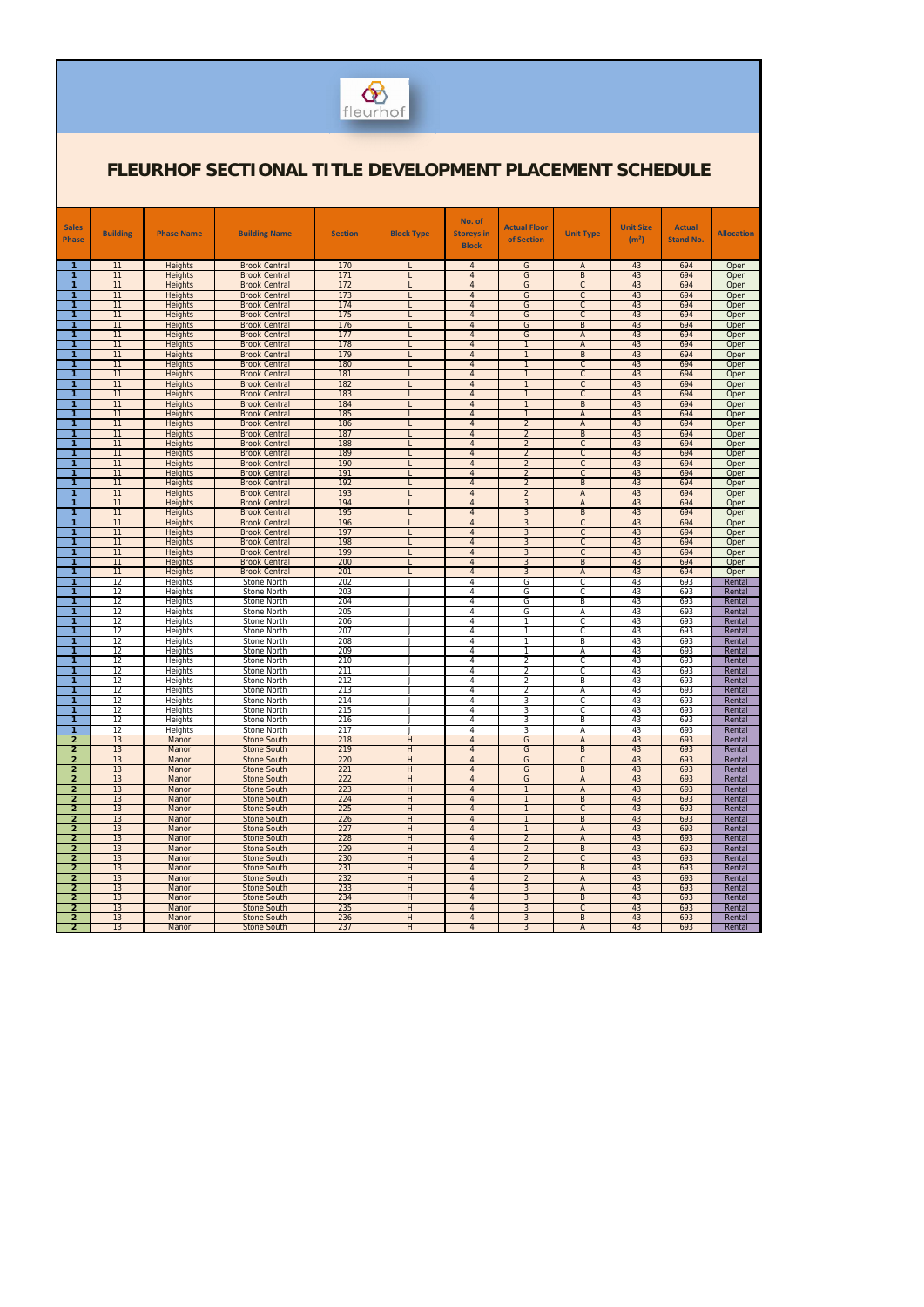

| <b>Sales</b><br><b>Phase</b>     | <b>Building</b>       | <b>Phase Name</b>                | <b>Building Name</b>                         | <b>Section</b> | <b>Block Type</b> | No. of<br><b>Storeys in</b><br><b>Block</b> | <b>Actual Floor</b><br>of Section | <b>Unit Type</b>                 | <b>Unit Size</b><br>(m <sup>2</sup> ) | <b>Actual</b><br><b>Stand No.</b> | <b>Allocation</b> |
|----------------------------------|-----------------------|----------------------------------|----------------------------------------------|----------------|-------------------|---------------------------------------------|-----------------------------------|----------------------------------|---------------------------------------|-----------------------------------|-------------------|
| $\mathbf{1}$                     | 11                    | Heights                          | <b>Brook Central</b>                         | 170            |                   | $\overline{4}$                              | G                                 | A                                | 43                                    | 694                               | Open              |
| $\mathbf{1}$                     | 11                    | <b>Heights</b>                   | <b>Brook Central</b>                         | 171            | L                 | $\overline{4}$                              | G                                 | $\overline{B}$                   | 43                                    | 694                               | Open              |
| 1                                | 11                    | Heights                          | <b>Brook Central</b>                         | 172            |                   | $\overline{4}$                              | G                                 | $\mathsf{C}$                     | 43                                    | 694                               | Open              |
|                                  | 11                    | <b>Heights</b>                   | <b>Brook Central</b>                         | 173            |                   | $\overline{4}$                              | G                                 | $\mathsf{C}$                     | 43                                    | 694                               | Open              |
| 1<br>1                           | 11<br>11              | <b>Heights</b><br><b>Heights</b> | <b>Brook Central</b><br><b>Brook Central</b> | 174<br>175     |                   | $\overline{4}$<br>$\overline{4}$            | G<br>G                            | $\mathsf{C}$<br>$\overline{C}$   | 43<br>43                              | 694<br>694                        | Open<br>Open      |
| 1                                | 11                    | <b>Heights</b>                   | <b>Brook Central</b>                         | 176            |                   | $\overline{4}$                              | G                                 | $\overline{B}$                   | 43                                    | 694                               | Open              |
| 1                                | 11                    | <b>Heights</b>                   | <b>Brook Central</b>                         | 177            |                   | $\overline{4}$                              | G                                 | $\mathsf{A}$                     | 43                                    | 694                               | Open              |
| 1                                | 11                    | <b>Heights</b>                   | <b>Brook Central</b>                         | 178            |                   | $\overline{4}$                              | $\overline{1}$                    | A                                | 43                                    | 694                               | Open              |
| 1                                | 11                    | <b>Heights</b>                   | <b>Brook Central</b>                         | 179            |                   | $\overline{4}$                              | $\overline{1}$                    | $\overline{B}$                   | 43                                    | 694                               | Open              |
| 1<br>1                           | 11<br>11              | Heights<br><b>Heights</b>        | <b>Brook Central</b><br><b>Brook Central</b> | 180<br>181     |                   | $\overline{4}$<br>$\overline{4}$            | $\overline{1}$<br>$\overline{1}$  | $\overline{C}$<br>$\overline{C}$ | 43<br>43                              | 694<br>694                        | Open<br>Open      |
| 1                                | 11                    | <b>Heights</b>                   | <b>Brook Central</b>                         | 182            |                   | $\overline{4}$                              | $\overline{1}$                    | $\mathsf{C}$                     | 43                                    | 694                               | Open              |
| 1                                | 11                    | <b>Heights</b>                   | <b>Brook Central</b>                         | 183            |                   | $\overline{4}$                              | $\overline{1}$                    | $\overline{C}$                   | 43                                    | 694                               | Open              |
| 1                                | 11                    | Heights                          | <b>Brook Central</b>                         | 184            |                   | $\overline{4}$                              | $\mathbf{1}$                      | $\overline{B}$                   | 43                                    | 694                               | Open              |
| 1                                | 11                    | <b>Heights</b>                   | <b>Brook Central</b>                         | 185            |                   | $\overline{4}$                              | $\overline{1}$                    | $\mathsf{A}$                     | 43                                    | 694                               | Open              |
| 1<br>1                           | 11                    | <b>Heights</b>                   | <b>Brook Central</b>                         | 186<br>187     |                   | $\overline{4}$                              | $\overline{2}$                    | A                                | 43                                    | 694                               | Open              |
| 1                                | 11<br>11              | <b>Heights</b><br><b>Heights</b> | <b>Brook Central</b><br><b>Brook Central</b> | 188            |                   | $\overline{4}$<br>$\overline{4}$            | $\overline{2}$<br>$\overline{2}$  | $\overline{B}$<br>$\overline{C}$ | 43<br>43                              | 694<br>694                        | Open<br>Open      |
| 1                                | 11                    | <b>Heights</b>                   | <b>Brook Central</b>                         | 189            |                   | $\overline{4}$                              | $\overline{2}$                    | $\overline{C}$                   | 43                                    | 694                               | Open              |
| 1                                | 11                    | <b>Heights</b>                   | <b>Brook Central</b>                         | 190            |                   | $\overline{4}$                              | $\overline{2}$                    | $\mathsf{C}$                     | 43                                    | 694                               | Open              |
| 1                                | 11                    | <b>Heights</b>                   | <b>Brook Central</b>                         | 191            |                   | $\overline{4}$                              | $\overline{2}$                    | $\overline{C}$                   | 43                                    | 694                               | Open              |
| 1                                | 11                    | <b>Heights</b>                   | <b>Brook Central</b>                         | 192            |                   | $\overline{4}$                              | $\overline{2}$                    | $\overline{B}$                   | 43                                    | 694                               | Open              |
| 1<br>1                           | 11<br>11              | <b>Heights</b><br><b>Heights</b> | <b>Brook Central</b><br><b>Brook Central</b> | 193<br>194     |                   | $\overline{4}$<br>$\overline{4}$            | $\overline{2}$<br>$\mathbf{3}$    | $\mathsf{A}$<br>A                | 43<br>43                              | 694<br>694                        | Open<br>Open      |
| 1                                | 11                    | <b>Heights</b>                   | <b>Brook Central</b>                         | 195            |                   | $\overline{4}$                              | 3                                 | $\overline{B}$                   | 43                                    | 694                               | Open              |
| 1                                | 11                    | Heights                          | <b>Brook Central</b>                         | 196            |                   | $\overline{4}$                              | $\mathbf{3}$                      | $\mathsf{C}$                     | 43                                    | 694                               | Open              |
| 1                                | 11                    | <b>Heights</b>                   | <b>Brook Central</b>                         | 197            |                   | $\overline{4}$                              | $\mathbf{3}$                      | $\overline{C}$                   | 43                                    | 694                               | Open              |
| 1                                | 11                    | <b>Heights</b>                   | <b>Brook Central</b>                         | 198            |                   | $\overline{4}$                              | $\mathbf{3}$                      | $\mathsf{C}$                     | 43                                    | 694                               | Open              |
| 1<br>1                           | 11<br>11              | Heights<br>Heights               | <b>Brook Central</b><br><b>Brook Central</b> | 199<br>200     |                   | $\overline{4}$<br>$\overline{4}$            | 3<br>$\mathbf{3}$                 | $\overline{C}$<br>$\overline{B}$ | 43<br>43                              | 694<br>694                        | Open<br>Open      |
| 1                                | 11                    | <b>Heights</b>                   | <b>Brook Central</b>                         | 201            |                   | $\overline{4}$                              | 3                                 | $\mathsf{A}$                     | 43                                    | 694                               | Open              |
| 1                                | $\overline{12}$       | Heights                          | Stone North                                  | 202            | J                 | 4                                           | G                                 | $\overline{C}$                   | 43                                    | 693                               | Rental            |
| 1                                | 12                    | <b>Heights</b>                   | Stone North                                  | 203            | J                 | 4                                           | G                                 | $\overline{C}$                   | 43                                    | 693                               | Rental            |
| 1                                | $\overline{12}$       | Heights                          | Stone North                                  | 204            | J                 | 4                                           | G                                 | $\overline{B}$                   | 43                                    | 693                               | Rental            |
| 1<br>1                           | 12<br>$\overline{12}$ | Heights                          | Stone North                                  | 205<br>206     | J<br>J            | 4<br>4                                      | G<br>$\mathbf{1}$                 | Α<br>$\overline{C}$              | 43<br>43                              | 693<br>693                        | Rental            |
| 1                                | 12                    | Heights<br>Heights               | Stone North<br>Stone North                   | 207            | J                 | 4                                           | $\overline{1}$                    | $\overline{C}$                   | 43                                    | 693                               | Rental<br>Rental  |
| 1                                | $\overline{12}$       | Heights                          | Stone North                                  | 208            | J                 | 4                                           | $\mathbf{1}$                      | B                                | 43                                    | 693                               | Rental            |
| 1                                | 12                    | Heights                          | Stone North                                  | 209            | J                 | 4                                           | $\mathbf{1}$                      | Α                                | 43                                    | 693                               | Rental            |
| 1                                | $\overline{12}$       | Heights                          | Stone North                                  | 210            | J                 | 4                                           | $\overline{2}$                    | C                                | 43                                    | 693                               | Rental            |
| 1<br>1                           | 12<br>$\overline{12}$ | Heights                          | Stone North                                  | 211<br>212     | J                 | 4<br>4                                      | $\overline{2}$<br>$\overline{2}$  | $\overline{C}$<br>B              | 43<br>43                              | 693<br>693                        | Rental            |
| 1                                | 12                    | Heights<br>Heights               | Stone North<br>Stone North                   | 213            |                   | 4                                           | $\overline{2}$                    | A                                | 43                                    | 693                               | Rental<br>Rental  |
| $\mathbf{1}$                     | 12                    | Heights                          | Stone North                                  | 214            | J                 | 4                                           | 3                                 | C                                | 43                                    | 693                               | Rental            |
| 1                                | $\overline{12}$       | Heights                          | Stone North                                  | 215            | J                 | 4                                           | 3                                 | C                                | 43                                    | 693                               | Rental            |
| $\mathbf{1}$                     | $\overline{12}$       | Heights                          | Stone North                                  | 216            | J                 | 4                                           | 3                                 | B                                | 43                                    | 693                               | Rental            |
| $\mathbf{1}$<br>$\overline{2}$   | $\overline{12}$<br>13 | Heights<br>Manor                 | Stone North<br>Stone South                   | 217<br>218     | J<br>H            | $\overline{4}$<br>$\overline{4}$            | 3<br>G                            | Α<br>A                           | 43<br>43                              | 693<br>693                        | Rental<br>Rental  |
| $\overline{2}$                   | 13                    | Manor                            | Stone South                                  | 219            | H                 | $\overline{4}$                              | G                                 | B                                | 43                                    | 693                               | Rental            |
| $\overline{2}$                   | 13                    | Manor                            | Stone South                                  | 220            | H                 | $\overline{4}$                              | G                                 | $\mathsf{C}$                     | 43                                    | 693                               | Rental            |
| $\overline{2}$                   | 13                    | Manor                            | Stone South                                  | 221            | H                 | $\overline{4}$                              | G                                 | B                                | 43                                    | 693                               | Rental            |
| $\overline{2}$                   | 13                    | Manor                            | Stone South                                  | 222            | H                 | $\overline{4}$                              | G                                 | A                                | 43                                    | 693                               | Rental            |
| $\overline{2}$<br>$\overline{2}$ | 13<br>13              | Manor                            | Stone South                                  | 223<br>224     | H<br>H            | $\overline{4}$<br>$\overline{4}$            | $\overline{1}$<br>$\overline{1}$  | $\mathsf{A}$<br>B                | 43<br>43                              | 693<br>693                        | Rental<br>Rental  |
| $\overline{2}$                   | 13                    | Manor<br>Manor                   | Stone South<br>Stone South                   | 225            | H                 | $\overline{4}$                              | $\overline{1}$                    | $\mathsf{C}$                     | 43                                    | 693                               | Rental            |
| $\overline{2}$                   | 13                    | Manor                            | <b>Stone South</b>                           | 226            | H                 | $\overline{4}$                              | $\mathbf{1}$                      | B                                | 43                                    | 693                               | Rental            |
| $\overline{2}$                   | 13                    | Manor                            | Stone South                                  | 227            | H                 | $\overline{4}$                              | $\overline{1}$                    | A                                | 43                                    | 693                               | Rental            |
| $\overline{2}$                   | 13                    | Manor                            | Stone South                                  | 228            | H                 | $\overline{4}$                              | $\overline{2}$                    | A                                | 43                                    | 693                               | Rental            |
| $\overline{2}$                   | 13                    | Manor                            | Stone South                                  | 229            | H                 | $\overline{4}$                              | $\overline{2}$                    | B                                | 43                                    | 693                               | Rental            |
| $\overline{2}$<br>$\overline{2}$ | 13<br>13              | Manor<br>Manor                   | <b>Stone South</b><br>Stone South            | 230<br>231     | H<br>H            | $\overline{4}$<br>$\overline{4}$            | $\overline{2}$<br>$\overline{2}$  | $\mathsf{C}$<br>B                | 43<br>43                              | 693<br>693                        | Rental<br>Rental  |
| $\overline{2}$                   | 13                    | Manor                            | Stone South                                  | 232            | H                 | $\overline{4}$                              | $\overline{2}$                    | A                                | 43                                    | 693                               | Rental            |
| $\overline{2}$                   | 13                    | <b>Manor</b>                     | Stone South                                  | 233            | H                 | $\overline{4}$                              | $\mathbf{3}$                      | $\mathsf{A}$                     | 43                                    | 693                               | Rental            |
| $\overline{2}$                   | 13                    | Manor                            | <b>Stone South</b>                           | 234            | H                 | $\overline{4}$                              | $\mathbf{3}$                      | B                                | 43                                    | 693                               | Rental            |
| $\overline{2}$                   | 13                    | Manor                            | Stone South                                  | 235            | H                 | $\overline{4}$                              | $\mathbf{3}$                      | $\mathsf{C}$                     | 43                                    | 693                               | Rental            |
| $\overline{2}$<br>$\overline{2}$ | 13<br>13              | Manor<br>Manor                   | Stone South<br>Stone South                   | 236<br>237     | H<br>H            | $\overline{4}$<br>$\overline{4}$            | 3<br>$\mathbf{3}$                 | B<br>$\mathsf{A}$                | 43<br>43                              | 693<br>693                        | Rental<br>Rental  |
|                                  |                       |                                  |                                              |                |                   |                                             |                                   |                                  |                                       |                                   |                   |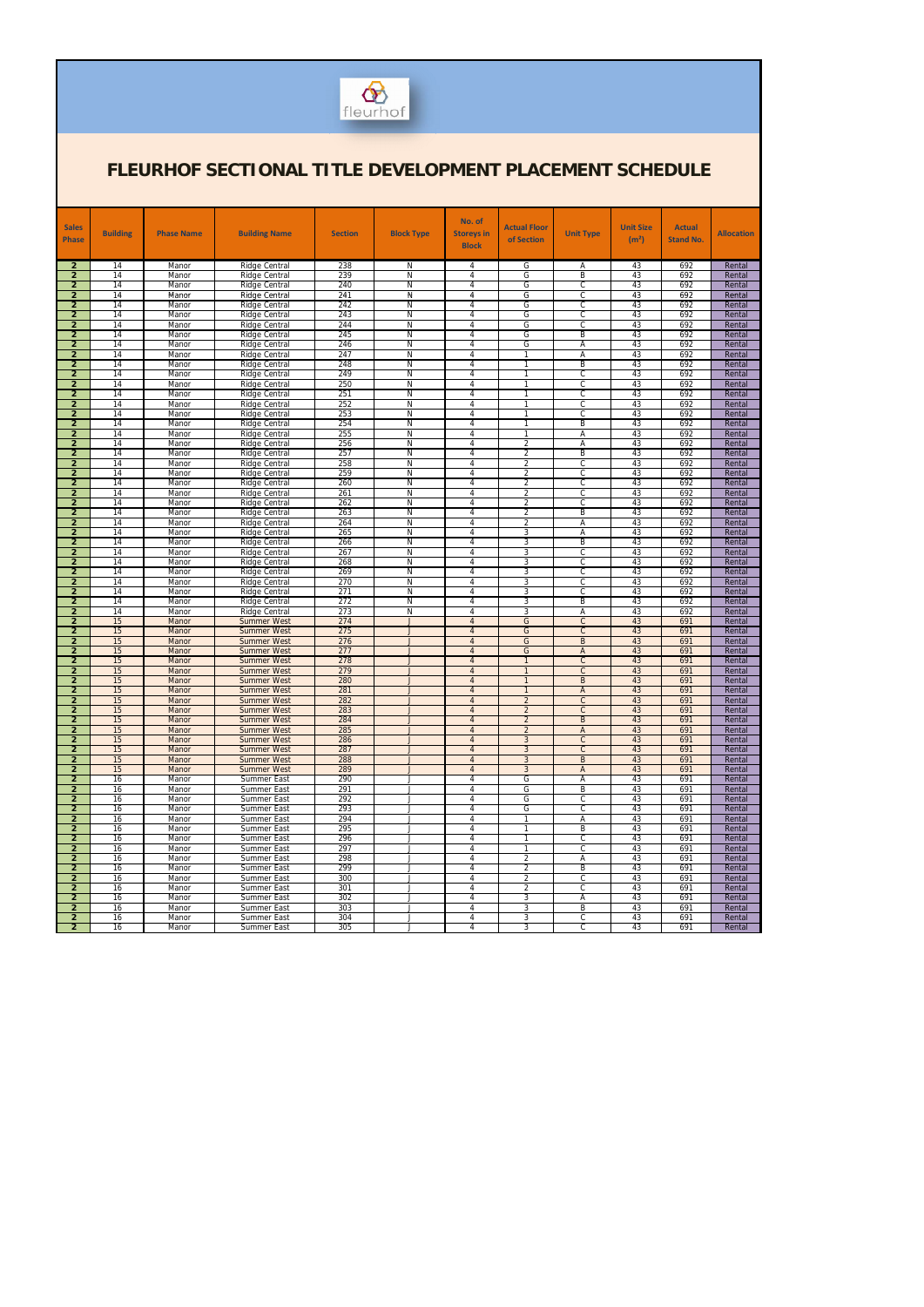

| <b>Sales</b>                     | <b>Building</b> | <b>Phase Name</b> | <b>Building Name</b>                         | <b>Section</b> | <b>Block Type</b>             | No. of<br><b>Storeys in</b>      | Actual Floor                     | <b>Unit Type</b>               | <b>Unit Size</b>  | <b>Actual</b>    | <b>Allocation</b> |
|----------------------------------|-----------------|-------------------|----------------------------------------------|----------------|-------------------------------|----------------------------------|----------------------------------|--------------------------------|-------------------|------------------|-------------------|
| <b>Phase</b>                     |                 |                   |                                              |                |                               | <b>Block</b>                     | of Section                       |                                | (m <sup>2</sup> ) | <b>Stand No.</b> |                   |
|                                  |                 |                   |                                              |                |                               |                                  |                                  |                                |                   |                  |                   |
| $\overline{2}$<br>$\overline{2}$ | 14<br>14        | Manor<br>Manor    | Ridge Central<br>Ridge Central               | 238<br>239     | N<br>N                        | 4<br>4                           | G<br>G                           | Α<br>B                         | 43<br>43          | 692<br>692       | Rental<br>Rental  |
| $\overline{2}$                   | 14              | Manor             | Ridge Central                                | 240            | N                             | 4                                | G                                | C                              | 43                | 692              | Rental            |
| $\overline{2}$                   | 14<br>14        | Manor             | Ridge Central                                | 241<br>242     | N<br>N                        | 4<br>4                           | G<br>G                           | C<br>$\mathsf{C}$              | 43                | 692<br>692       | Rental            |
| $\overline{2}$<br>$\overline{2}$ | 14              | Manor<br>Manor    | Ridge Central<br><b>Ridge Central</b>        | 243            | N                             | 4                                | G                                | $\mathsf{C}$                   | 43<br>43          | 692              | Rental<br>Rental  |
| $\overline{2}$                   | 14              | Manor             | Ridge Central                                | 244            | N                             | $\overline{4}$                   | G                                | $\overline{c}$                 | 43                | 692              | Rental            |
| $\overline{2}$                   | 14              | Manor             | <b>Ridge Central</b>                         | 245            | N                             | 4                                | G                                | B                              | 43                | 692              | Rental            |
| $\overline{2}$<br>$\overline{2}$ | 14<br>14        | Manor<br>Manor    | Ridge Central<br><b>Ridge Central</b>        | 246<br>247     | N<br>N                        | 4<br>4                           | G<br>$\mathbf{1}$                | Α<br>Α                         | 43<br>43          | 692<br>692       | Rental<br>Rental  |
| $\overline{2}$                   | 14              | Manor             | <b>Ridge Central</b>                         | 248            | N                             | $\overline{4}$                   | $\mathbf{1}$                     | B                              | 43                | 692              | Rental            |
| $\overline{2}$                   | 14              | Manor             | <b>Ridge Central</b>                         | 249            | N                             | 4                                | $\mathbf{1}$<br>1                | C                              | 43                | 692              | Rental            |
| $\overline{2}$<br>$\overline{2}$ | 14<br>14        | Manor<br>Manor    | <b>Ridge Central</b><br><b>Ridge Central</b> | 250<br>251     | N<br>N                        | $\overline{4}$<br>4              | $\mathbf{1}$                     | $\mathsf{C}$<br>$\mathsf{C}$   | 43<br>43          | 692<br>692       | Rental<br>Rental  |
| $\overline{2}$                   | 14              | Manor             | Ridge Central                                | 252            | N                             | $\overline{4}$                   | $\mathbf{1}$                     | $\overline{c}$                 | 43                | 692              | Rental            |
| $\overline{2}$                   | 14              | Manor             | <b>Ridge Central</b>                         | 253            | N                             | 4                                | 1                                | $\mathsf{C}$                   | 43                | 692              | Rental            |
| $\overline{2}$<br>$\overline{2}$ | 14<br>14        | Manor<br>Manor    | <b>Ridge Central</b><br><b>Ridge Central</b> | 254<br>255     | N<br>N                        | $\overline{4}$<br>4              | 1<br>1                           | B<br>A                         | 43<br>43          | 692<br>692       | Rental<br>Rental  |
| $\overline{2}$                   | 14              | Manor             | Ridge Central                                | 256            | N                             | 4                                | $\overline{2}$                   | Α                              | 43                | 692              | Rental            |
| $\overline{2}$                   | 14              | Manor             | <b>Ridge Central</b>                         | 257            | N                             | 4                                | $\overline{2}$                   | B                              | 43                | 692              | Rental            |
| $\overline{2}$<br>$\overline{2}$ | 14<br>14        | Manor<br>Manor    | <b>Ridge Central</b><br><b>Ridge Central</b> | 258<br>259     | N<br>N                        | $\overline{4}$<br>4              | $\overline{2}$<br>$\overline{2}$ | $\overline{C}$<br>$\mathsf{C}$ | 43<br>43          | 692<br>692       | Rental<br>Rental  |
| $\overline{2}$                   | 14              | Manor             | Ridge Central                                | 260            | N                             | 4                                | $\overline{2}$                   | $\overline{c}$                 | 43                | 692              | Rental            |
| $\overline{2}$                   | 14              | Manor             | <b>Ridge Central</b>                         | 261            | N                             | 4                                | $\overline{2}$                   | $\mathsf{C}$                   | 43                | 692              | Rental            |
| $\overline{2}$<br>$\overline{2}$ | 14<br>14        | Manor<br>Manor    | <b>Ridge Central</b><br><b>Ridge Central</b> | 262<br>263     | N<br>N                        | $\overline{4}$<br>4              | $\overline{2}$<br>$\overline{2}$ | $\overline{C}$<br>B            | 43<br>43          | 692<br>692       | Rental<br>Rental  |
| $\overline{2}$                   | 14              | Manor             | Ridge Central                                | 264            | N                             | 4                                | $\overline{2}$                   | Α                              | 43                | 692              | Rental            |
| $\overline{2}$                   | 14              | Manor             | <b>Ridge Central</b>                         | 265            | N                             | 4                                | 3                                | Α                              | 43                | 692              | Rental            |
| $\overline{2}$<br>$\overline{2}$ | 14<br>14        | Manor<br>Manor    | <b>Ridge Central</b><br><b>Ridge Central</b> | 266<br>267     | N<br>N                        | $\overline{4}$<br>4              | 3<br>3                           | B<br>$\mathsf{C}$              | 43<br>43          | 692<br>692       | Rental<br>Rental  |
| $\overline{2}$                   | 14              | Manor             | Ridge Central                                | 268            | N                             | 4                                | 3                                | $\overline{c}$                 | 43                | 692              | Rental            |
| $\overline{2}$                   | 14              | Manor             | <b>Ridge Central</b>                         | 269            | N                             | 4                                | 3                                | $\mathsf{C}$                   | 43                | 692              | Rental            |
| $\overline{2}$<br>$\overline{2}$ | 14<br>14        | Manor<br>Manor    | <b>Ridge Central</b><br><b>Ridge Central</b> | 270<br>271     | N<br>N                        | $\overline{4}$<br>4              | 3<br>3                           | $\overline{C}$<br>$\mathsf{C}$ | 43<br>43          | 692<br>692       | Rental<br>Rental  |
| $\overline{2}$                   | 14              | Manor             | Ridge Central                                | 272            | N                             | 4                                | 3                                | B                              | 43                | 692              | Rental            |
| $\overline{2}$                   | 14              | Manor             | <b>Ridge Central</b>                         | 273            | N                             | $\overline{4}$                   | 3                                | Α                              | 43                | 692              | Rental            |
| $\overline{2}$<br>$\overline{2}$ | 15<br>15        | Manor<br>Manor    | <b>Summer West</b><br><b>Summer West</b>     | 274<br>275     | $\mathbf{I}$<br>$\mathbf{J}$  | $\overline{4}$<br>$\overline{4}$ | G<br>G                           | $\overline{C}$<br>$\mathsf{C}$ | 43<br>43          | 691<br>691       | Rental<br>Rental  |
| $\overline{2}$                   | 15              | Manor             | <b>Summer West</b>                           | 276            | $\mathbf{I}$                  | $\overline{4}$                   | G                                | B                              | 43                | 691              | Rental            |
| $\overline{2}$                   | 15              | Manor             | <b>Summer West</b>                           | 277            | $\mathbf{J}$                  | $\overline{4}$                   | G                                | $\overline{A}$                 | 43                | 691              | Rental            |
| $\overline{2}$<br>$\overline{2}$ | 15<br>15        | Manor<br>Manor    | <b>Summer West</b><br><b>Summer West</b>     | 278<br>279     | $\mathbf{J}$<br>$\mathbf{J}$  | $\overline{4}$<br>$\overline{4}$ | $\mathbf{1}$<br>$\overline{1}$   | $\overline{C}$<br>$\mathsf{C}$ | 43<br>43          | 691<br>691       | Rental<br>Rental  |
| $\overline{2}$                   | 15              | Manor             | <b>Summer West</b>                           | 280            | $\blacksquare$                | $\overline{4}$                   | $\overline{1}$                   | B                              | 43                | 691              | Rental            |
| $\overline{2}$                   | 15              | Manor             | <b>Summer West</b>                           | 281            |                               | $\overline{4}$                   |                                  | $\overline{A}$                 | 43                | 691              | Rental            |
| $\overline{2}$<br>$\overline{2}$ | 15<br>15        | Manor<br>Manor    | <b>Summer West</b><br><b>Summer West</b>     | 282<br>283     | $\mathsf{J}$<br>$\mathbf{J}$  | $\overline{4}$<br>$\overline{4}$ | $\overline{2}$<br>$\overline{2}$ | $\mathsf{C}$<br>$\mathsf{C}$   | 43<br>43          | 691<br>691       | Rental<br>Rental  |
| $\overline{2}$                   | 15              | Manor             | <b>Summer West</b>                           | 284            | $\mathbf{J}$                  | $\overline{4}$                   | $\overline{2}$                   | B                              | 43                | 691              | Rental            |
| $\overline{2}$                   | 15              | Manor             | <b>Summer West</b>                           | 285            | J                             | $\overline{4}$                   | $\overline{2}$                   | A                              | 43                | 691              | Rental            |
| $\overline{2}$<br>$\overline{2}$ | 15<br>15        | Manor<br>Manor    | <b>Summer West</b><br><b>Summer West</b>     | 286<br>287     | $\mathbf{J}$<br>J             | $\overline{4}$<br>$\overline{4}$ | 3<br>$\mathbf{3}$                | $\mathsf{C}$<br>$\mathsf{C}$   | 43<br>43          | 691<br>691       | Rental<br>Rental  |
| $\overline{2}$                   | 15              | Manor             | <b>Summer West</b>                           | 288            | $\mathbf{J}$                  | $\overline{4}$                   | $\mathbf{3}$                     | B                              | 43                | 691              | Rental            |
| $\overline{2}$                   | 15              | Manor             | <b>Summer West</b>                           | 289            | J                             | $\overline{4}$                   | 3                                | A                              | 43                | 691              | Rental            |
| $\overline{2}$<br>$\overline{2}$ | 16<br>16        | Manor<br>Manor    | Summer East<br>Summer East                   | 290<br>291     | $\overline{\phantom{a}}$<br>J | $\overline{4}$<br>$\overline{4}$ | G<br>G                           | Α<br>B                         | 43<br>43          | 691<br>691       | Rental<br>Rental  |
| $\overline{2}$                   | 16              | Manor             | Summer East                                  | 292            | $\mathbf{J}$                  | 4                                | G                                | $\mathsf{C}$                   | 43                | 691              | Rental            |
| $\overline{2}$                   | 16              | Manor             | Summer East                                  | 293            | J                             | 4                                | G                                | $\mathsf{C}$                   | 43                | 691              | Rental            |
| $\overline{2}$<br>$\overline{2}$ | 16<br>16        | Manor<br>Manor    | Summer East<br>Summer East                   | 294<br>295     | $\overline{\phantom{a}}$<br>J | $\overline{4}$<br>$\overline{4}$ | $\mathbf{1}$<br>1                | Α<br>B                         | 43<br>43          | 691<br>691       | Rental<br>Rental  |
| $\overline{2}$                   | 16              | Manor             | Summer East                                  | 296            | $\mathbf{J}$                  | 4                                | 1                                | $\mathsf{C}$                   | 43                | 691              | Rental            |
| $\overline{2}$                   | 16              | Manor             | Summer East                                  | 297            | J                             | 4                                | 1                                | $\mathsf{C}$                   | 43                | 691              | Rental            |
| $\overline{2}$<br>$\overline{2}$ | 16<br>16        | Manor<br>Manor    | Summer East<br>Summer East                   | 298<br>299     | $\overline{\phantom{a}}$<br>J | $\overline{4}$<br>$\overline{4}$ | $\overline{2}$<br>$\overline{2}$ | Α<br>B                         | 43<br>43          | 691<br>691       | Rental<br>Rental  |
| $\overline{2}$                   | 16              | Manor             | Summer East                                  | 300            | $\mathbf{J}$                  | 4                                | $\overline{2}$                   | $\mathsf{C}$                   | 43                | 691              | Rental            |
| $\overline{2}$                   | 16              | Manor             | Summer East                                  | 301            | J                             | 4                                | $\overline{2}$                   | $\mathsf{C}$                   | 43                | 691              | Rental            |
| $\overline{2}$<br>$\overline{2}$ | 16<br>16        | Manor<br>Manor    | Summer East<br>Summer East                   | 302<br>303     | $\overline{\phantom{a}}$<br>J | $\overline{4}$<br>4              | 3<br>3                           | Α<br>B                         | 43<br>43          | 691<br>691       | Rental<br>Rental  |
| $\overline{2}$                   | 16              | Manor             | Summer East                                  | 304            | J                             | 4                                | 3                                | $\mathsf{C}$                   | 43                | 691              | Rental            |
| $\overline{2}$                   | 16              | Manor             | Summer East                                  | 305            | $\overline{\phantom{a}}$      | 4                                | 3                                | С                              | 43                | 691              | Rental            |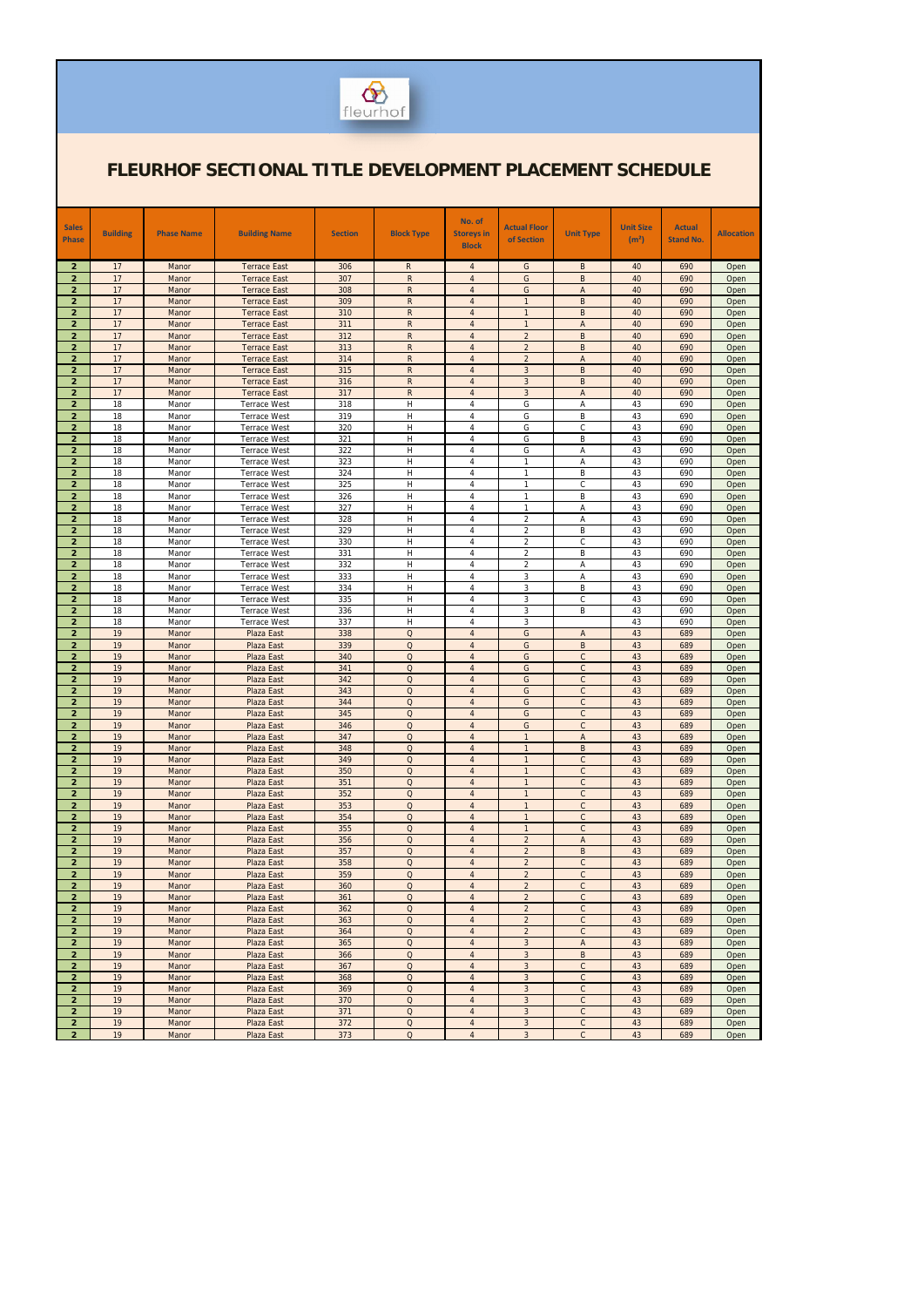

| <b>Sales</b>                     |                 |                   |                                            |                |                              | No. of                           | <b>Actual Floor</b>              |                             | <b>Unit Size</b>  | <b>Actual</b>    |                   |
|----------------------------------|-----------------|-------------------|--------------------------------------------|----------------|------------------------------|----------------------------------|----------------------------------|-----------------------------|-------------------|------------------|-------------------|
| <b>Phase</b>                     | <b>Building</b> | <b>Phase Name</b> | <b>Building Name</b>                       | <b>Section</b> | <b>Block Type</b>            | <b>Storeys in</b>                | of Section                       | <b>Unit Type</b>            | (m <sup>2</sup> ) | <b>Stand No.</b> | <b>Allocation</b> |
|                                  |                 |                   |                                            |                |                              | <b>Block</b>                     |                                  |                             |                   |                  |                   |
| $\overline{2}$                   | 17              | Manor             | <b>Terrace East</b>                        | 306            | R                            | $\overline{4}$                   | G                                | B                           | 40                | 690              | Open              |
| $\overline{2}$                   | 17              | Manor             | <b>Terrace East</b>                        | 307            | $\mathsf{R}$                 | $\overline{4}$                   | G                                | B                           | 40                | 690              | Open              |
| $\overline{2}$                   | 17              | Manor             | <b>Terrace East</b>                        | 308            | $\mathsf{R}$                 | $\overline{4}$                   | G                                | A                           | 40                | 690              | Open              |
| $\overline{2}$                   | 17              | Manor             | <b>Terrace East</b>                        | 309            | $\mathsf{R}$<br>$\mathsf{R}$ | $\overline{4}$<br>$\overline{4}$ | $\overline{1}$<br>$\overline{1}$ | B<br>$\sf B$                | 40                | 690              | Open              |
| $\overline{2}$<br>$\overline{2}$ | 17<br>17        | Manor<br>Manor    | <b>Terrace East</b><br><b>Terrace East</b> | 310<br>311     | $\mathsf{R}$                 | $\overline{4}$                   | $\overline{1}$                   | A                           | 40<br>40          | 690<br>690       | Open<br>Open      |
| $\overline{2}$                   | 17              | Manor             | <b>Terrace East</b>                        | 312            | $\mathsf{R}$                 | $\overline{4}$                   | $\overline{2}$                   | B                           | 40                | 690              | Open              |
| $\overline{2}$                   | 17              | Manor             | <b>Terrace East</b>                        | 313            | $\mathsf{R}$                 | $\overline{4}$                   | $\overline{2}$                   | B                           | 40                | 690              | Open              |
| $\overline{2}$                   | 17              | Manor             | <b>Terrace East</b>                        | 314            | $\mathsf{R}$                 | $\overline{4}$                   | $\overline{2}$                   | A                           | 40                | 690              | Open              |
| $\overline{2}$                   | 17              | Manor             | <b>Terrace East</b>                        | 315            | $\mathsf{R}$                 | $\overline{4}$                   | $\overline{3}$                   | B                           | 40                | 690              | Open              |
| $\overline{2}$                   | 17              | Manor             | <b>Terrace East</b>                        | 316            | $\mathsf{R}$                 | $\overline{4}$                   | $\overline{3}$                   | B                           | 40                | 690              | Open              |
| $\overline{2}$                   | 17              | Manor             | <b>Terrace East</b>                        | 317            | $\mathsf{R}$<br>H            | $\overline{4}$                   | $\overline{3}$                   | A                           | 40                | 690              | Open              |
| $\overline{2}$<br>$\overline{2}$ | 18<br>18        | Manor<br>Manor    | <b>Terrace West</b><br><b>Terrace West</b> | 318<br>319     | H                            | 4<br>4                           | G<br>G                           | Α<br>B                      | 43<br>43          | 690<br>690       | Open<br>Open      |
| $\overline{2}$                   | 18              | Manor             | <b>Terrace West</b>                        | 320            | H                            | $\overline{4}$                   | G                                | C                           | 43                | 690              | Open              |
| $\overline{2}$                   | 18              | Manor             | <b>Terrace West</b>                        | 321            | Η                            | 4                                | G                                | B                           | 43                | 690              | Open              |
| $\overline{2}$                   | 18              | Manor             | <b>Terrace West</b>                        | 322            | H                            | $\overline{4}$                   | G                                | Α                           | 43                | 690              | Open              |
| $\overline{2}$                   | 18              | Manor             | <b>Terrace West</b>                        | 323            | Н                            | 4                                | $\mathbf{1}$                     | Α                           | 43                | 690              | Open              |
| $\overline{2}$                   | 18              | Manor             | <b>Terrace West</b>                        | 324            | H                            | $\overline{4}$                   | $\mathbf{1}$                     | B                           | 43                | 690              | Open              |
| $\overline{2}$                   | 18              | Manor             | <b>Terrace West</b>                        | 325            | Н                            | 4                                | $\mathbf{1}$                     | C                           | 43                | 690              | Open              |
| $\overline{2}$<br>$\overline{2}$ | 18<br>18        | Manor<br>Manor    | <b>Terrace West</b><br><b>Terrace West</b> | 326<br>327     | H<br>H                       | $\overline{4}$<br>$\overline{4}$ | $\mathbf{1}$<br>$\mathbf{1}$     | B<br>Α                      | 43<br>43          | 690<br>690       | Open<br>Open      |
| $\overline{2}$                   | 18              | Manor             | <b>Terrace West</b>                        | 328            | Н                            | $\overline{4}$                   | 2                                | Α                           | 43                | 690              | Open              |
| $\overline{2}$                   | 18              | Manor             | <b>Terrace West</b>                        | 329            | Н                            | $\overline{4}$                   | $\overline{2}$                   | B                           | 43                | 690              | Open              |
| $\overline{2}$                   | 18              | Manor             | <b>Terrace West</b>                        | 330            | H                            | $\overline{4}$                   | $\overline{2}$                   | $\mathsf{C}$                | 43                | 690              | Open              |
| $\overline{2}$                   | 18              | Manor             | <b>Terrace West</b>                        | 331            | H                            | $\overline{4}$                   | 2                                | B                           | 43                | 690              | Open              |
| $\overline{2}$                   | 18              | Manor             | <b>Terrace West</b>                        | 332            | H                            | $\overline{4}$                   | $\overline{2}$                   | Α                           | 43                | 690              | Open              |
| $\overline{2}$<br>$\overline{2}$ | 18<br>18        | Manor<br>Manor    | <b>Terrace West</b><br><b>Terrace West</b> | 333<br>334     | H<br>H                       | $\overline{4}$<br>4              | 3<br>3                           | Α<br>B                      | 43<br>43          | 690<br>690       | Open              |
| $\overline{2}$                   | 18              | Manor             | <b>Terrace West</b>                        | 335            | H                            | $\overline{4}$                   | $\mathbf{3}$                     | $\mathsf{C}$                | 43                | 690              | Open<br>Open      |
| $\overline{2}$                   | 18              | Manor             | <b>Terrace West</b>                        | 336            | H                            | $\overline{4}$                   | 3                                | B                           | 43                | 690              | Open              |
| $\overline{2}$                   | 18              | Manor             | <b>Terrace West</b>                        | 337            | H                            | $\overline{4}$                   | 3                                |                             | 43                | 690              | Open              |
| $\overline{2}$                   | 19              | Manor             | Plaza East                                 | 338            | $\Omega$                     | $\overline{4}$                   | G                                | A                           | 43                | 689              | Open              |
| $\overline{2}$                   | 19              | Manor             | <b>Plaza East</b>                          | 339            | $\Omega$                     | $\overline{4}$                   | G                                | $\sf B$                     | 43                | 689              | Open              |
| $\overline{2}$                   | 19<br>19        | Manor             | Plaza East                                 | 340            | $\Omega$                     | $\overline{4}$                   | G                                | $\mathsf C$                 | 43                | 689              | Open              |
| $\overline{2}$<br>$\overline{2}$ | 19              | Manor<br>Manor    | Plaza East<br>Plaza East                   | 341<br>342     | $\Omega$<br>$\Omega$         | $\overline{4}$<br>$\overline{4}$ | G<br>G                           | $\mathsf{C}$<br>$\mathsf C$ | 43<br>43          | 689<br>689       | Open<br>Open      |
| $\overline{2}$                   | 19              | Manor             | Plaza East                                 | 343            | $\mathsf O$                  | $\overline{A}$                   | G                                | $\mathsf{C}$                | 43                | 689              | Open              |
| $\overline{2}$                   | 19              | Manor             | Plaza East                                 | 344            | $\Omega$                     | $\overline{4}$                   | G                                | $\mathsf{C}$                | 43                | 689              | Open              |
| $\overline{2}$                   | 19              | Manor             | Plaza East                                 | 345            | $\Omega$                     | $\overline{4}$                   | G                                | $\mathsf{C}$                | 43                | 689              | Open              |
| $\overline{2}$                   | 19              | Manor             | Plaza East                                 | 346            | $\Omega$                     | $\overline{4}$                   | G                                | $\mathsf{C}$                | 43                | 689              | Open              |
| $\overline{2}$                   | 19              | Manor             | Plaza East                                 | 347            | $\Omega$                     | $\overline{4}$                   | $\mathbf{1}$                     | $\mathsf{A}$                | 43                | 689              | Open              |
| $\overline{2}$<br>$\overline{2}$ | 19<br>19        | Manor<br>Manor    | Plaza East<br>Plaza East                   | 348<br>349     | $\mathsf O$<br>$\mathsf O$   | $\overline{4}$<br>$\overline{4}$ | $\mathbf{1}$<br>$\mathbf{1}$     | B<br>$\mathsf{C}$           | 43<br>43          | 689<br>689       | Open<br>Open      |
| $\overline{2}$                   | 19              | Manor             | Plaza East                                 | 350            | $\Omega$                     | $\overline{4}$                   | $\mathbf{1}$                     | $\mathsf C$                 | 43                | 689              | Open              |
| $\overline{2}$                   | 19              | Manor             | Plaza East                                 | 351            | $\Omega$                     | $\overline{4}$                   | $\mathbf{1}$                     | $\mathsf{C}$                | 43                | 689              | Open              |
| $\overline{2}$                   | 19              | Manor             | Plaza East                                 | 352            | $\Omega$                     | $\overline{4}$                   | $\mathbf{1}$                     | $\mathsf{C}$                | 43                | 689              | Open              |
| $\overline{2}$                   | 19              | Manor             | Plaza East                                 | 353            | $\mathsf O$                  | $\overline{4}$                   | $\mathbf{1}$                     | $\mathsf{C}$                | 43                | 689              | Open              |
| $\overline{2}$                   | 19              | Manor             | Plaza East                                 | 354            | $\mathsf O$                  | $\overline{4}$                   | $\overline{1}$                   | $\mathsf C$                 | 43                | 689              | Open              |
| $\overline{2}$                   | 19              | Manor             | Plaza East                                 | 355            | $\Omega$                     | $\overline{4}$                   | $\mathbf{1}$                     | $\mathsf{C}$                | 43                | 689              | Open              |
| $\overline{2}$<br>$\overline{2}$ | 19<br>19        | Manor<br>Manor    | <b>Plaza East</b><br>Plaza East            | 356<br>357     | $\mathsf O$<br>$\Omega$      | $\overline{4}$<br>$\overline{4}$ | $\overline{2}$<br>$\overline{2}$ | A<br>B                      | 43<br>43          | 689<br>689       | Open<br>Open      |
| $\overline{2}$                   | 19              | Manor             | Plaza East                                 | 358            | $\mathsf O$                  | $\overline{4}$                   | $\overline{2}$                   | $\mathsf{C}$                | 43                | 689              | Open              |
| $\overline{2}$                   | 19              | Manor             | Plaza East                                 | 359            | Q                            | $\overline{4}$                   | $\overline{2}$                   | $\mathsf{C}$                | 43                | 689              | Open              |
| $\overline{2}$                   | 19              | Manor             | Plaza East                                 | 360            | $\mathsf O$                  | $\overline{4}$                   | $\overline{2}$                   | $\mathsf{C}$                | 43                | 689              | Open              |
| $\overline{2}$                   | 19              | Manor             | Plaza East                                 | 361            | $\Omega$                     | $\overline{4}$                   | $\overline{2}$                   | $\mathsf{C}$                | 43                | 689              | Open              |
| $\overline{2}$                   | 19              | Manor             | Plaza East                                 | 362            | $\mathsf O$                  | $\overline{4}$                   | $\overline{c}$                   | $\mathsf C$                 | 43                | 689              | Open              |
| $\overline{2}$                   | 19              | Manor             | Plaza East                                 | 363            | $\Omega$                     | $\overline{4}$                   | $\overline{2}$                   | $\mathsf{C}$                | 43                | 689              | Open              |
| $\overline{2}$<br>$\overline{2}$ | 19<br>19        | Manor<br>Manor    | Plaza East<br>Plaza East                   | 364<br>365     | $\mathsf O$<br>$\Omega$      | $\overline{4}$<br>$\overline{4}$ | $\overline{2}$<br>3              | $\mathsf{C}$<br>A           | 43<br>43          | 689<br>689       | Open<br>Open      |
| $\overline{2}$                   | 19              | Manor             | Plaza East                                 | 366            | $\Omega$                     | $\overline{4}$                   | $\mathbf{3}$                     | B                           | 43                | 689              | Open              |
| $\overline{2}$                   | 19              | Manor             | Plaza East                                 | 367            | $\Omega$                     | $\overline{4}$                   | $\mathbf{3}$                     | $\mathsf{C}$                | 43                | 689              | Open              |
| $\overline{2}$                   | 19              | Manor             | Plaza East                                 | 368            | $\mathsf O$                  | $\overline{4}$                   | 3                                | $\mathsf{C}$                | 43                | 689              | Open              |
| $\overline{2}$                   | 19              | Manor             | Plaza East                                 | 369            | $\Omega$                     | $\overline{4}$                   | $\overline{3}$                   | $\mathsf{C}$                | 43                | 689              | Open              |
| $\overline{2}$                   | 19              | Manor             | Plaza East                                 | 370            | $\Omega$                     | $\overline{4}$                   | $\mathbf{3}$                     | $\mathsf{C}$                | 43                | 689              | Open              |
| $\overline{2}$<br>$\overline{2}$ | 19<br>19        | Manor             | Plaza East                                 | 371<br>372     | $\mathsf O$<br>$\mathsf O$   | $\overline{4}$<br>$\overline{4}$ | $\mathbf{3}$<br>$\mathbf{3}$     | $\mathsf C$<br>$\mathsf{C}$ | 43<br>43          | 689<br>689       | Open              |
| $\overline{2}$                   | 19              | Manor<br>Manor    | Plaza East<br>Plaza East                   | 373            | $\Omega$                     | $\overline{4}$                   | $\mathbf{3}$                     | $\mathsf C$                 | 43                | 689              | Open<br>Open      |